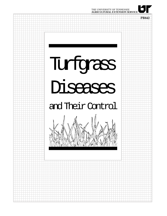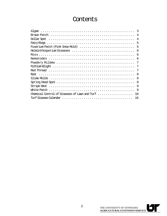# Contents

| 3                                                                                                |
|--------------------------------------------------------------------------------------------------|
| 4                                                                                                |
| 4                                                                                                |
| 5                                                                                                |
| Fusarium Patch (Pink Snow Mold) $\dots\dots\dots\dots\dots\dots\dots\dots\dots\dots$<br>.5       |
| 6                                                                                                |
| 6                                                                                                |
| 6                                                                                                |
| 7                                                                                                |
| 7                                                                                                |
|                                                                                                  |
| 8                                                                                                |
| $Slime$ Molds $\dots\dots\dots\dots\dots\dots\dots\dots\dots\dots\dots\dots\dots\dots\dots$<br>8 |
| 8                                                                                                |
| 9                                                                                                |
| 9                                                                                                |
| Chemical Control of Diseases of Lawn and Turf $\ldots, \ldots, \ldots, \ldots, \ldots$<br>10     |
| 16                                                                                               |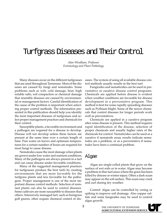# Turfgrass Diseases and Their Control

*Alan Windham, Professor Entomology and Plant Pathology*

Many diseases occur on the different turfgrasses that are used throughout Tennessee. Most of the diseases are caused by fungi and nematodes. Some problems such as wilt, cold damage, heat, high soluble salts, soil compaction or chemical damage that resemble diseases are caused by environmental or management factors. Careful identification of the cause of the problem is important when selecting proper control methods. The information presented in this publication should help you identify the most important diseases of turfgrasses and select proper management practices and chemicals for their control.

Susceptible plants, a favorable environment and a pathogen are required for a disease to develop. Disease will not develop unless these factors are present at the same time over a certain length of time. Free water on leaves and optimum temperatures for a certain number of hours are required for most fungi to cause disease.

Nematodes cause the most damage when plants are grown under low water and nutrient conditions. Many of the pathogens are always present in a turf and can cause disease under favorable conditions.

Many of the suggested management practices for turfgrasses produce the best turfs by creating environments that are more favorable for the turfgrass plants and less favorable for the pathogens. Proper management is one of the most important disease control methods. Selection of resistant plants can also be used to control diseases. Some cultivars are more susceptible to diseases than others. Intensively managed turf, such as bentgrass golf greens, often require chemical control of diseases. The system of using all available disease control methods usually results in the best turf.

Fungicides and nematicides can be used in preventative or curative disease control programs. Chemicals are applied before disease is evident when weather conditions are favorable for disease development in a preventative program. This method is best for some rapidly spreading diseases such as Pythium blight. Some of the newer chemicals that control diseases for longer periods work well as preventatives.

Chemicals are applied in a curative program after some disease is present. This method requires rapid identification of the disease, selection of proper chemicals and usually higher rates of the chemicals for control. Nematicides can be used as a curative if nematode assay results indicate nematodes are a problem, or as a preventative if nematodes have been a continual problem.

### Algae

Algae are single-celled plants that grow on the surface of wet soils or in water. Algae may become a problem in thin turf areas where the grass has been killed by disease or winter injury. Often a dark scum may appear on the soil surface. This scum may crack and curl during dry weather.

Control: Algae can be controlled by coring or spiking to improve soil drainage. Also copper sulfate and some fungicides may be used to control algae growth.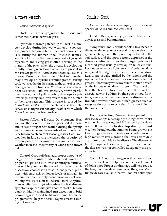#### Brown Patch

Cause: *Rhizoctonia* species

Hosts: Bentgrass, ryegrasses, tall fescue and sometimes hybrid bermudagrass

Symptoms: Brown patches up to 3 feet in diameter develop during hot, wet weather on cool season grasses. Brown patch is the most serious disease during the summer on tall fescue in Tennessee. Smoke rings that are composed of grayish mycelium and dying grass often develop at the margin of the patch when the disease is developing rapidly. Some green leaves usually are present in the brown patches. *Rhizoctonia solani* causes this disease. Brown patches up to 20 feet in diameter may develop on hybrid bermudagrasses during cool, wet weather in the spring at the time of or soon after green-up. Strains of *Rhizoctonia solani* have been associated with this disease. A brown patchlike disease, called yellow patch, develops as yellow rings during cold, wet weather in the winter on bentgrass greens. This disease is caused by *Rhizoctonia cerealis*. Brown patch has also been observed on bentgrass in hot, dry weather from which *Rhizoctonia zeae* has been isolated.

Factors Affecting Disease Development: Hot, wet weather, excess irrigation, poor soil drainage and excess nitrogen fertilization during the spring and summer increase the severity of warm weather type brown patch on cool season grasses. Cool, wet weather in late spring increases the severity of brown patch on bermudagrass and cold, wet weather increases the severity of winter type brown patch.

Control: Good soil drainage, proper amounts of irrigation to maintain adequate soil moisture, proper soil pH and low levels of nitrogen fertilization will help reduce the severity of brown patch diseases on cool season grasses. Management practices with emphasis on lower levels of nitrogen in the summer are the only economical ways of controlling this disease in tall fescue lawns. Applications of effective fungicides when the first disease symptoms appear will give good control of brown patch on highly maintained turf except on hybrid bermudagrass. Good fertilization and herbicide programs will help the bermudagrass recover during hot weather.

### Dollar Spot

Cause: *Sclerotinia homoeocarpa* (now considered species of *Lanzia* and *Mollerodiscus*)

Hosts: Bentgrass, ryegrasses, bluegrass, zoysiagrass and bermudagrass

Symptoms: Small, circular spots 1 to 3 inches in diameter develop over several days on short cut grasses. The grass in the spots may be killed to the soil surface and the spots become depressed if the disease continues to develop. Larger patches of bleached grass usually develop on taller cut turf. Lesions on leaves are light tan and often have a dark margin at the edge when the disease is spreading. Leaves are usually girdled by the lesions and the upper part of the leaves die slowly on taller cut grasses. Short fuzzy white mycelium is often present on the lesions when dew is present. The mycelium has often been confused with the fluffy mycelium associated with Pythium blight. Spots on sod-forming grasses usually recover once the disease is controlled; however, spots on bunch grasses such as ryegrass do not recover if the plants are killed to the soil surface.

Factors Affecting Disease Development: The disease develops most rapidly during warm, moist weather in the spring and fall when heavy dews occur. It continues to develop during humid weather throughout the summer. Plants growing at low nitrogen levels and in dry soil conditions with high moisture levels around the leaves from dew are more susceptible to the disease. The disease often develops earlier in the spring in areas in which the disease was not controlled adequately the previous fall.

Control: Adequate nitrogen fertilization and soil moisture levels will help prevent the development of dollar spot. Proper air drainage will help reduce the length of time dew remains on the grass. Many fungicides are available that will control dollar spot.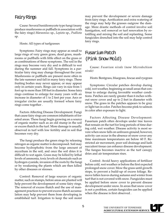### Fairy Rings

Cause: Several basidiomycete type fungi (many produce mushrooms or puffballs in association with the fairy rings) *Marasmius* sp., *Lepiota* sp., *Psalliota* sp.

Hosts: All types of turfgrasses

Symptoms: Fairy rings may appear as small to large rings of very green grass, dead grass, mushrooms or puffballs with little effect on the grass or as combinations of these symptoms. The soil in the rings may become very dry and is difficult to wet during the summer and fall. Symptoms in a particular fairy ring may change throughout the year. Mushrooms or puffballs are present more often in the late summer and fall in many fairy rings. These fruiting bodies may never appear, or may appear only in certain years. Rings can vary in size from 1 foot up to more than 100 feet in diameter. Some fairy rings continue to enlarge for many years with an increase in diameter of 1 to 2 feet per year. Arcs or irregular circles are usually formed where fairy rings come together .

Factors Affecting Disease Development: Fungi that cause fairy rings are common inhabitants of forested areas. These fungi begin growing on a source of organic matter such as an old stump in the soil or excess thatch in the turf. More damage is usually observed in turf with low fertility and in soil that becomes very dry.

The fungi produce the green rings by releasing nitrogen as organic matter is decomposed. Soil may become hydrophobic from the large amount of mycelium in the soil, and once the soil dries it is difficult to wet again. Grass may be killed by lethal levels of ammonia, toxic levels of chemicals such as hydrogen cyanide, invasion of the roots by the fungi or by weakening the plants which are then killed by other diseases or stresses.

Control: Removal of large sources of organic matter, such as stumps, before areas are planted will help prevent the development of some fairy rings. The removal of excess thatch and the use of management practices to prevent excess thatch accumulation may help prevent them from developing in established turf. Irrigation to keep the soil moist

may prevent the development or severe damage from fairy rings. Aerification and extra watering of the rings may help the grasses outgrow the damage. More drastic methods of control involve soil fumigation, soil removal or turf renovation by rototilling and mixing the soil and replanting. Some fungicides drenched into the soil may help control fairy rings.

# Fusarium Patch (Pink Snow Mold)

Cause: *Fusarium nivale (*now *Microdochium nivale)*

Hosts: Bentgrass, bluegrass, fescue and ryegrass

Symptoms: Circular patches develop during cold, wet weather, beginning as small areas that continue to enlarge during favorable weather conditions. Patches are rarely greater than 6 inches without snow cover and up to 2 feet in diameter with snow. The grass in the patches appears to be gray or light tan in color. Patches become pink to salmon in color after exposure to light.

Factors Affecting Disease Development: Fusarium patch often develops under tree leaves that remain on the turf for long periods of time during cold, wet weather. Disease activity is most severe when snow falls on unfrozen ground; however, activity can occur in the absence of snow cover any time maximum temperatures are below 60 F. Restricted air movement, poor soil drainage and lush succulent tissue can enhance disease development. The fungus becomes inactive as the turf canopy dries and air temperature rises.

Control: Avoid heavy applications of fertilizer before cold, wet weather or before the first expected prolonged snow cover. Mow the grass until growth stops, to prevent a build-up of excess foliage. Remove fallen leaves during autumn and winter from turf that is not covered with snow. Fungicides must be applied before snow cover to prevent disease development under snow. In areas that snow cover is not a problem, certain fungicides can be applied when the disease is first observed .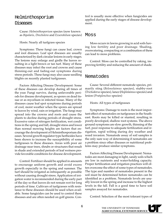# Helminthosporium

#### **Diseases**

Cause: *Helminthosporium* species (now known as *Bipolaris, Drechslera* and *Exserohilum* species)

Hosts: Nearly all turfgrass species

Symptoms: These fungi can cause leaf, crown and root diseases. Leaf spot diseases are usually characterized by dark circular lesions in early stages. The lesions may enlarge and girdle the leaves resulting in a light brown or tan turf. Many of these diseases may infect the root and crowns and cause thinning-out and fading-out symptoms during stress periods. These fungi may also cause seedling blights on recently planted turfgrasses.

Factors Affecting Disease Development: Some of these diseases can develop during all times of the year. Fungi survive, during unfavorable periods for disease development, as spores on dead tissue or as mycelium in infected tissue. Many of the diseases cause leaf spot symptoms during periods of cool, moist weather when the spores are spread to leaves by wind, rain or irrigation. The fungi may spread into the crowns and roots and cause the plants to decline during periods of drought stress. Excessive rates of nitrogen fertilization, wet conditions in the spring and fall, drought stress and lower than normal mowing heights are factors that encourage the development of Helminthosporium diseases. Several growth regulator type herbicides have been shown to increase the susceptibility of some turfgrasses to these diseases. Areas with poor air drainage near trees, shrubs or structures that result in shade and extended periods of leaf wetness provide favorable conditions for disease development.

Control: Fertilizer should be applied in amounts to encourage uniform growth and avoid excess growth especially in the spring and summer. The turf should be irrigated as infrequently as possible without causing drought stress. Application of irrigation water is recommended during the early part of the day so that leaves do not remain wet for long periods of time. Cultivars of turfgrasses with resistance to these diseases should be used when available. Some fungicides can be used to control these diseases and are often needed on golf greens. Control is usually more effective when fungicides are applied during the early stages of disease development.

### Moss

Moss occurs in lawns growing in acid soils having low fertility and poor drainage. Shading, overwatering, compacting or a combination of these can lead to moss problems.

Control: Moss can be controlled by raking, improving fertility and reducing the amount of shade.

### Nematodes

Cause: Several different nematode species, primarily sting (*Belonolaimus* species), stubby-root (*Trichodorus* species), lance (*Hoplolaimus* species) and lesion (*Pratylenchus* species)

Hosts: All types of turfgrasses

Symptoms: Damage to roots is the most important effect of nematodes on turfgrasses in the Southeast. Roots may be killed or stunted, resulting in poorly developed, shallow root systems. The above ground symptoms are slow growth, thinning of the turf, poor response to adequate fertilization and irrigation, rapid wilting during dry weather and weed invasion. Nematode assay of soil samples is the only sure way of determining if nematodes are a problem since other diseases or nutritional problems may produce similar symptoms.

Factors Affecting Disease Development: Nematodes are most damaging in light, sandy soils which are low in nutrients and water-holding capacity. Proper fertilization and irrigation practices will often overcome the effect of some types of nematodes. The type and number of nematodes present in the soil must be determined before nematodes can be identified as a problem. Nematode levels are usually lowest in the spring and increase to the highest levels in the fall. Fall is a good time to have soil samples assayed for nematodes.

Control: Selection of the most tolerant types of

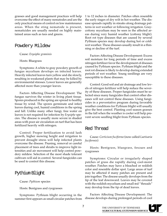grasses and good management practices will help overcome the effect of many nematodes and are the only practical means of control on low maintenance areas. When the sting nematode is present, nematicides are usually needed on highly maintained areas such as tees and greens.

### Powdery Mildew

Cause: *Erysiphe graminis*

Hosts: Bluegrass

Symptoms: A white to gray powdery growth of fungus mycelium develops on infected leaves. Heavily infected leaves turn yellow and die slowly, resulting in weakened plants that may be killed by environmental stresses. Lower leaves are generally affected more than younger leaves.

Factors Affecting Disease Development: The fungus survives the winter in living plant tissue. Spores produced in the spring are spread to healthy tissue by wind. The spores germinate and infect leaves during cool, humid conditions in the spring and fall. Unlike many other fungi, free water on leaves is not required for infection by *Erysiphe* species. The disease is usually more severe in shaded areas with poor air circulation on turf that has been fertilized heavily with nitrogen.

Control: Proper fertilization to avoid lush growth, higher mowing height and irrigation to prevent drought stress will help infected plants overcome the disease. Pruning, removal or careful placement of trees and shrubs to improve light intensities and air movement will help control powdery mildew. Selection of the most shade tolerant cultivars will aid in control. Several fungicides can be used to control this disease.

### Pythium Blight

Cause: *Pythium* species

Hosts: Bentgrass and ryegrasses

Symptoms: Pythium blight occurring in the summer first appears as small circular patches from 1 to 12 inches in diameter. Patches often resemble the early stages of dry wilt in hot weather. The disease spreads rapidly in streaks along drainage patterns in wet weather or following irrigation. Graycottony mycelium may be seen in the affected areas during very humid weather (cottony blight). Root rot type diseases that are caused by several Pythium species may develop during hot or coldwet weather. These diseases usually result in a thinning or decline of the turf.

Factors Affecting Disease Development: Excess soil moisture for long periods of time and excess nitrogen fertilizer favor the development of diseases caused by Pythium species. Pythium blight and the root rot disease is likely to develop during extended periods of wet weather. Young seedlings are very susceptible to these diseases.

Control: Good soil and air drainage and low levels of nitrogen fertilizer will help reduce the severity of these diseases. Proper fungicides must be selected since many fungicides that control other diseases will not control these diseases. Using fungicides in a preventative program during favorable weather conditions for Pythium blight will usually give the best control. Planting cool season grasses in the fall when the weather is cooler will help prevent severe seedling blight from Pythium species.

# Red Thread

Cause: *Corticium fuciforme* (now called *Laetisaria fuciformis*)

Hosts: Bentgrass, bluegrass, fescues and ryegrasses

Symptoms: Circular or irregularly shaped patches of grass die rapidly during cool-moist weather. Patches may have a bleached or reddish color and resemble dollar spot. Large areas of turf may be affected if many patches are present and join together. The disease usually develops from the tip of the leaf downward. Leaves may be covered with the reddish mycelium and small red ''threads'' may develop from the tip of dead leaves.

Factors Affecting Disease Development: The disease develops during prolonged periods of cool

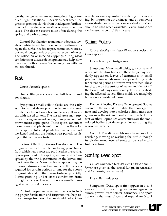weather when leaves are wet from dew, fog or frequent light irrigations. It develops best when the grass is growing slowly from inadequate fertilization, lack of water, cool weather or even other diseases. The disease occurs most often during the spring and early summer.

Control: Fertilization to maintain adequate levels of nutrients will help overcome this disease. Irrigate the turf as needed to prevent moisture stress, but avoid long periods of excess water on the leaves. The collection of infected clippings during ideal conditions for disease development may help slow the spread of this disease. Some fungicides will control red thread.

#### Rust

Cause: *Puccinia* species

Hosts: Bluegrass, ryegrass, tall fescue and zoysiagrass

Symptoms: Small yellow flecks are the early symptoms that develop on the leaves and stems. Infected spots on leaves become larger yellow areas with raised centers. The raised areas may rupture exposing masses of yellow, orange, red or dark brown microscopic spores. These spores can infect more tissue and plants until the turf has the color of the spores. Infected plants become yellow and weakened and may die during stress periods resulting in thin and weak turfs.

Factors Affecting Disease Development: The fungus survives the winter in living plant tissue from which new spores are produced in the spring. Spores produced in the spring, summer and fall are spread by the wind, germinate on the leaves and infect new tissue. Many cycles of spores may be produced during a year. Free water on the leaves is required for certain periods of time for the spores to germinate and for the disease to develop rapidly. Plants growing under stress conditions from drought, shade or low nutrition are usually damaged more by rust diseases .

Control: Proper management practices including proper fertilization and irrigation will help reduce damage from rust. Leaves should be kept free

of water as long as possible by watering in the morning, by improving air drainage and by removing excess shade. Some cultivars are resistant to rust and should be used when available. Several fungicides can be used to control this disease .

### Slime Molds

Cause: *Mucilago crustacea, Physarum* species and *Fuligo* species

Hosts: Nearly all turfgrasses

Symptoms: Many small white, gray or several other color fruiting bodies of these fungi may suddenly appear on leaves of turfgrasses in small patches. Slime molds usually appear during or after extended periods of warm-wet weather. These fungi grow on the surface of leaves and do not kill the leaves, but may cause some yellowing by shading the affected leaves. Slime molds are unsightly, but are not considered harmful.

Factors Affecting Disease Development: Spores survive in the soil and on thatch. The spores germinate and develop into a colorless slimy mass that grows over the soil and nearby plant parts during wet weather. Reproductive structures are the small colored bodies that develop on leaves during the warm, wet weather.

Control: The slime molds may be removed by brushing, mowing or washing the turf. Although fungicides are not needed, some can be used to control these fungi.

# Spring Dead Spot

Cause: Unknown (*Leptosphaeria narmari* and *L. korrae* are given as the causal fungus in Australia and California, respectively)

Hosts: Bermudagrass

Symptoms: Dead spots first appear in 3 to 5 year-old turf in the spring, as bermudagrass resumes growth from winter dormancy. The spots appear in the same places and expand for 3 to 4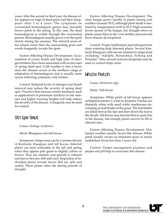years. After the second or third year, the disease often appears as rings of dead grass and then disappears after 3 to 4 years. The symptoms on overseeded bermudagrass greens may resemble brown patch in the spring. In this case, the dead bermudagrass is visible through the overseeded grasses. Bermudagrass usually grows over the spots slowly during the summer. The infected areas often remain lower than the surrounding grass and weeds frequently invade the spots.

Factors Affecting Disease Development: Accumulation of excess thatch and high rates of nitrogen fertilizer have been associated with severe cases of spring dead spot. Cold weather is also a factor since the disease occurs in the northern range of adaptation of bermudagrass and is usually more severe following extremely cold winters.

Control: Reduced levels of nitrogen and thatch removal may reduce the severity of spring dead spot. Practices that increase winter hardiness such as applications of potassium fertilizer in late summer and higher mowing heights will help reduce the severity of the disease. A fungicide may be used for control.

### Stripe Smut

Cause: *Ustilago striiformis*

Hosts: Bluegrass and tall fescue

Symptoms: Stripe smut can be a serious disease of Kentucky bluegrass and tall fescue. Infected plants are most noticeable in the fall and spring when they appear pale green to slightly yellow or brown. They are stunted, root growth is reduced and leaves become stiff and erect. Inspection of individual plants reveals leaves that are split and curled. These plants often die during periods of drought.

Factors Affecting Disease Development: The smut fungus grows rapidly in plants during cool weather (around 70 F), although plant death is hastened by temperatures of 85 to 95 F. High moisture favors spread of the fungus, but drought stress on plants causes them to die. Low fertility and acid soils favor disease development.

Control: Proper fertilization and infrequent but deep watering help diseased plants. Several Kentucky bluegrass cultivars are resistant to stripe smut including "Adelphi, Bonnieblue, Fylking and Pennstar." Also, several systemic fungicides may be used to control stripe smut.

# White Patch

Cause: *Melanotus* spp.

Hosts: Tall fescue

Symptoms: White patch of tall fescue appears as blighted patches 1-2 feet in diameter. Patches are distinctly white with small white mushrooms developing on leaf blades of the grass. The leaf blades are killed first at the tips and later down the leaf to the sheath. Tall fescue may become thin in spots due to the disease, but enough plants survive to fill in affected area.

Factors Affecting Disease Development: Hot, humid weather usually favors this disease. White patch usually occurs on immature grass in newly established lawns less than 2 years old.

Control: Proper management practices and proper soil pH help to overcome this disease.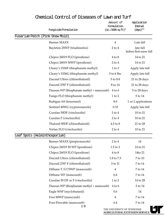| Fungicide/Formulation                     | Amount of<br>Formulation<br>$(oz./1000 sq ft)*$                      | Application<br>Interval<br>$(days)$ ** |  |  |
|-------------------------------------------|----------------------------------------------------------------------|----------------------------------------|--|--|
| Fusarium Patch (Pink Snow Mold)           |                                                                      |                                        |  |  |
| <b>Banner MAXX</b>                        | $\overline{4}$                                                       | Late fall                              |  |  |
| Bayleton 25WP (triadimefon)               | $2$ to $4$                                                           | late fall<br>before first snow fall    |  |  |
| Chipco 26019 FLO (iprodione)              | $4$ to $8$                                                           | 14 to 21                               |  |  |
| Chipco 26019 50WP (iprodione)             | $2$ to $4$                                                           | 14 to 21                               |  |  |
| Cleary's 3336F (thiophanate methyl)       | $1$ to $2$                                                           | Apply late fall                        |  |  |
| Cleary's 3336G (thiophanate methyl)       | $3$ to $6$ lbs.                                                      | Apply late fall                        |  |  |
| Daconil Ultrex (chlorothalonil)           | 5 to 8.8                                                             | 21 to 28 days                          |  |  |
| Daconil 2787 F (chlorothalonil)           | 8 to 14                                                              | 21 to 28 days                          |  |  |
| Duosan WP (thiophanate methyl + mancozeb) | $4$ to $6$                                                           | 5 to 28 days                           |  |  |
| Fungo FLO (thiophanate methyl)            | $1$ to $2$                                                           | 5 to 14                                |  |  |
| Rubigan AS (fenarimol)                    | 8.0                                                                  | 1 or 2 applications                    |  |  |
| Sentinel 40WG (cyproconazole)             | 0.33                                                                 | Apply late fall                        |  |  |
| Curalan 50DF (vinclozolin)                | $2$ to $4$                                                           | 10 to 21                               |  |  |
| Curalan F (vinclozolin)                   | $2$ to $4$                                                           | 10 to 21                               |  |  |
| Thalonil 90DF (chlorothalonil)            | 4.5 to 8                                                             | 21 to 28                               |  |  |
| Vorlan FLO (vinclozolin)                  | $2$ to $4$                                                           | 10 to 21                               |  |  |
| Leaf Spots (Helminthosporium)             |                                                                      |                                        |  |  |
| Banner MAXX (propiconazole)               | $2$ to $4$                                                           | 14                                     |  |  |
| Chipco 26019 50 WP (iprodione)            | $1.5$ to $2$                                                         | 14 to 21                               |  |  |
| Chipco 26019 FLO (iprodione)              | $4$ to $8$                                                           | 14to 21                                |  |  |
| Daconil Ultrex (chlorothalonil)           | 1.8 to 7.3                                                           | 7 to 10                                |  |  |
| Daconil 2787 F (chlorothalonil)           | 3 to 11                                                              | 7 to 14                                |  |  |
| Dithane T/O 75WP (mancozeb)               | $\overline{4}$                                                       | 7 to 14                                |  |  |
| Dithane WF (mancozeb)                     | 6.4                                                                  | $7$ to $14\,$                          |  |  |
| Curalan 50 DF or F (vinclozolin)          | $1$ to $2$                                                           | 14 to 28                               |  |  |
| Duosan WP (thiophanate methyl + mancozeb) | $4$ to $6$                                                           | $5$ to $14\,$                          |  |  |
| Eagle WSP (myclobutanil)                  | 0.6                                                                  | 14                                     |  |  |
| Fore 80WP (mancozeb)                      | $\overline{4}$                                                       | 7 to 14                                |  |  |
| Fore Flowable (mancozeb)                  | 6.4                                                                  | 7 to 14                                |  |  |
| 10                                        | THE UNIVERSITY OF TENNESSEE<br><b>AGRICULTURAL EXTENSION SERVICE</b> |                                        |  |  |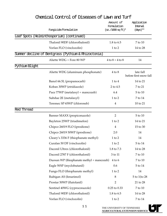|                | Fungicide/Formulation                               | Amount of<br>Formulation<br>$(oz. / 1000 sq ft)*$ | Application<br>Interval<br>$(days)$ ** |
|----------------|-----------------------------------------------------|---------------------------------------------------|----------------------------------------|
|                | Leaf Spots (Helminthosporium) (continued)           |                                                   |                                        |
|                | Thalonil 90DF (chlorothalonil)                      | 1.8 to 6.5                                        | 7 to 10                                |
|                | Vorlan FLO (vinclozolin)                            | $1$ to $2$                                        | 14 to 28                               |
|                | Summer decline of Bentgrass (Pythium & Rhizoctonia) |                                                   |                                        |
|                | Aliette WDG + Fore 80 WP                            | $4 to 8 + 4 to 8$                                 | 14                                     |
| Pythium Blight |                                                     |                                                   |                                        |
|                | Aliette WDG (aluminum phosphonate)                  | $4$ to $8$                                        | late fall<br>before first snow fall    |
|                | Banol 66.5L (propamocarb)                           | $1$ to $4$                                        | 14 to 21                               |
|                | Koban 30WP (etridiazole)                            | 2 to 4.5                                          | 7 to 21                                |
|                | Pace 77WP (metalaxyl + mancozeb)                    | 6.4                                               | 5 to 10                                |
|                | Subdue 2E (metalaxyl)                               | $1$ to $2$                                        | 7 to 14                                |
|                | Teremec SP 65WP (chloroneb)                         | 4                                                 | 10 to 21                               |
| Red Thread     |                                                     |                                                   |                                        |
|                | Banner MAXX (propiconazole)                         | $\overline{2}$                                    | 5 to 10                                |
|                | Bayleton 25WP (triadimefon)                         | $1$ to $2$                                        | 14 to 21                               |
|                | Chipco 26019 FLO (iprodione)                        | $\overline{4}$                                    | 15 to 30                               |
|                | Chipco 26019 50WP (iprodione)                       | 2.0                                               | 14                                     |
|                | Cleary's 3336 F (thiophanate methyl)                | $1$ to $2$                                        | 14                                     |
|                | Curalan 50 DF (vinclozolin)                         | $1$ to $2$                                        | 5 to 14                                |
|                | Daconil Ultrex (chlorothalonil)                     | 1.8 to 7.3                                        | 14 to 28                               |
|                | Daconil 2787 F (chlorothalonil)                     | 3 to 11                                           | 7 to 10                                |
|                | Duosan WP (thiophanate methyl + mancozeb)           | $4$ to $6$                                        | $7$ to $10\,$                          |
|                | Eagle WSP (myclobutanil)                            | 0.6                                               | $5$ to $14\,$                          |
|                | Fungo FLO (thiophanate methyl)                      | $1$ to $2$                                        | 14                                     |
|                | Rubigan AS (fenarimol)                              | 8                                                 | 5 to 1(to 28                           |
|                | Prostar 50WP (flutolanil)                           | $\overline{2}$                                    | 21 to 28                               |
|                | Sentinel 40WG (cyproconazole)                       | 0.25 to 0.33                                      | 7 to 10                                |
|                | Thalonil 90DF (chlorothalonil)                      | 1.8 to 6.5                                        | 14 to 28                               |
|                | Vorlan FLO (vinclozolin)                            | $1$ to $2$                                        | 7 to 14                                |
|                |                                                     |                                                   |                                        |

THE UNIVERSITY OF TENNESSEE **AGRICULTURAL EXTENSION SERVICE** 

 $\Box$ 

1 1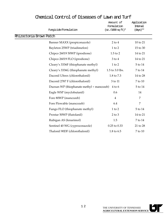|                         | Fungicide/Formulation                     | Amount of<br>Formulation<br>$(oz. / 1000 sq ft)*$ | Application<br>Interval<br>$(days)$ ** |  |
|-------------------------|-------------------------------------------|---------------------------------------------------|----------------------------------------|--|
| Rhizoctonia Brown Patch |                                           |                                                   |                                        |  |
|                         | Banner MAXX (propiconazole)               | $2$ to $4$                                        | 10 to 21                               |  |
|                         | Bayleton 25WP (triadimefon)               | $1$ to $2$                                        | 15 to 30                               |  |
|                         | Chipco 26019 50WP (iprodione)             | $1.5$ to $2$                                      | 14 to 21                               |  |
|                         | Chipco 26019 FLO (iprodione)              | $3$ to $4$                                        | 14 to 21                               |  |
|                         | Cleary's 3336F (thiophanate methyl)       | $1$ to $2$                                        | 5 to 14                                |  |
|                         | Cleary's 3336G (thiophanate methyl)       | 1.5 to 3.0 lbs.                                   | 7 to 14                                |  |
|                         | Daconil Ultrex (chlorothalonil)           | 1.8 to 7.3                                        | 14 to 28                               |  |
|                         | Daconil 2787 F (chlorothalonil)           | 3 to 11                                           | 7 to 10                                |  |
|                         | Duosan WP (thiophanate methyl + mancozeb) | $4$ to $6$                                        | 5 to 14                                |  |
|                         | Eagle WSP (myclobutanil)                  | 0.6                                               | 14                                     |  |
|                         | Fore 80WP (mancozeb)                      | $\overline{4}$                                    | $\overline{7}$                         |  |
|                         | Fore Flowable (mancozeb)                  | 6.4                                               | 7                                      |  |
|                         | Fungo FLO (thiophanate methyl)            | $1$ to $2$                                        | 5 to 14                                |  |
|                         | Prostar 50WP (flutolanil)                 | $2$ to $3$                                        | 14 to 21                               |  |
|                         | Rubigan AS (fenarimol)                    | 1.5                                               | 7 to 14                                |  |
|                         | Sentinel 40 WG (cyproconazole)            | 0.25 to 0.33                                      | 21 to 28                               |  |
|                         | Thalonil 90DF (chlorothalonil)            | 1.8 to 6.5                                        | 7 to 10                                |  |
|                         |                                           |                                                   |                                        |  |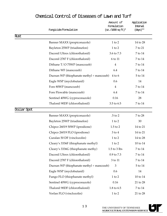|             | Fungicide/Formulation                     | Amount of<br>Formulation<br>$(oz. / 1000 sg ft)*$ | Application<br>Interval<br>$(days)$ ** |
|-------------|-------------------------------------------|---------------------------------------------------|----------------------------------------|
| Rust        |                                           |                                                   |                                        |
|             | Banner MAXX (propiconazole)               | $1$ to $2$                                        | 14 to 28                               |
|             | Bayleton 25WP (triadimefon)               | $1$ to $2$                                        | 7 to 21                                |
|             | Daconil Ultrex (chlorothalonil)           | 3.6 to 7.3                                        | 7 to 14                                |
|             | Daconil 2787 F (chlorothalonil)           | 6 to 11                                           | 7 to 14                                |
|             | Dithane T/O 75WP (mancozeb)               | $\overline{4}$                                    | 7 to 14                                |
|             | Dithane WF (mancozeb)                     | 6.4                                               | 7 to 14                                |
|             | Duosan WP (thiophanate methyl + mancozeb) | $4$ to $6$                                        | 5 to 14                                |
|             | Eagle WSP (myclobutanil)                  | 0.6                                               | 14                                     |
|             | Fore 80WP (mancozeb)                      | $\overline{4}$                                    | 7 to 14                                |
|             | Fore Flowable (mancozeb)                  | 6.4                                               | 7 to 14                                |
|             | Sentinel 40WG (cyproconazole)             | 0.16                                              | 28                                     |
|             | Thalonil 90DF (chlorothalonil)            | 3.5 to 6.5                                        | 7 to 14                                |
| Dollar Spot |                                           |                                                   |                                        |
|             | Banner MAXX (propiconazole)               | .5 to 2                                           | 7 to 28                                |
|             | Bayleton 25WP (triadimefon)               | $1$ to $2$                                        | 30                                     |
|             | Chipco 26019 50WP (iprodione)             | $1.5$ to $2$                                      | 14 to 21                               |
|             | Chipco 26019 FLO (iprodione)              | $3$ to $4$                                        | 14 to 21                               |
|             | Curalan 50 DF (vinclozolin)               | $1$ to $2$                                        | 14 to 28                               |
|             | Cleary's 3336F (thiophanate methyl)       | $1$ to $2$                                        | 10 to 14                               |
|             | Cleary's 3336G (thiophanate methy)        | $1.5$ to $3$ lbs                                  | 7 to 14                                |
|             | Daconil Ultrex (chlorothalonil)           | 0.9 to 7.3                                        | 7 to 14                                |
|             | Daconil 2787 F (chlorothalonil)           | 3 to 11                                           | $7$ to $14\,$                          |
|             | Duosan WP (thiophanate methyl + mancozeb) | 3                                                 | $5$ to $14\,$                          |
|             | Eagle WSP (myclobutanil)                  | 0.6                                               | 14                                     |
|             | Fungo FLO (thiophanate methyl)            | $1$ to $2$                                        | 10 to 14                               |
|             | Sentinel 40WG (cyproconazole)             | 0.16                                              | 21 to 28                               |
|             | Thalonil 90DF (chlorothalonil)            | 1.8 to 6.5                                        | $7$ to $14\,$                          |
|             | Vorlan FLO (vinclozolin)                  | $1$ to $2$                                        | 21 to 28                               |

0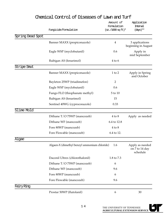|                  | Fungicide/Formulation                        | Amount of<br>Formulation<br>$(oz./1000 sq ft)*$ | Application<br>Interval<br>$(days)$ **        |
|------------------|----------------------------------------------|-------------------------------------------------|-----------------------------------------------|
| Spring Dead Spot |                                              |                                                 |                                               |
|                  | Banner MAXX (propiconazole)                  | 4                                               | 3 applications<br>beginning in August         |
|                  | Eagle WSP (myclobutanil)                     | 0.6                                             | Apply in<br>mid September                     |
|                  | Rubigan AS (fenarimol)                       | $4$ to $6$                                      |                                               |
| Stripe Smut      |                                              |                                                 |                                               |
|                  | Banner MAXX (propiconazole)                  | $1$ to $2$                                      | Apply in Spring<br>and October                |
|                  | Bayleton 25WP (triadimefon)                  | $\overline{2}$                                  |                                               |
|                  | Eagle WSP (myclobutanil)                     | 0.6                                             |                                               |
|                  | Fungo FLO (thiophanate methyl)               | 5 to 10                                         |                                               |
|                  | Rubigan AS (fenarimol)                       | 15                                              |                                               |
|                  | Sentinel 40WG (cyproconazole)                | 0.33                                            |                                               |
| Slime Mold       |                                              |                                                 |                                               |
|                  | Dithane T/O 75WP (mancozeb)                  | $4$ to $8$                                      | Apply as needed                               |
|                  | Dithane WF (mancozeb)                        | 6.4 to 12.8                                     |                                               |
|                  | Fore 80WP (mancozeb)                         | $4$ to $8$                                      |                                               |
|                  | Fore Flowable (mancozeb)                     | 6.4 to 12.                                      |                                               |
| Algae            |                                              |                                                 |                                               |
|                  | Algaen-X (dimethyl benzyl ammonium chloride) | 1.6                                             | Apply as needed<br>on 7 to 14 day<br>schedule |
|                  | Daconil Ultrex (chlorothalonil)              | 1.8 to 7.3                                      |                                               |
|                  | Dithane T/O 75WP (mancozeb)                  | 6                                               |                                               |
|                  | Dithane WF (mancozeb)                        | 9.6                                             |                                               |
|                  | Fore 80WP (mancozeb)                         | 6                                               |                                               |
|                  | Fore Flowable (mancozeb)                     | 9.6                                             |                                               |
| Fairy Ring       |                                              |                                                 |                                               |
|                  | Prostar 50WP (flutolanil)                    | 6                                               | 30                                            |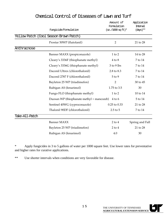|                | Fungicide/Formulation                     | Amount of<br>Formulation<br>$(oz./1000 sgft)*$ | Application<br>Interval<br>$(days)$ ** |
|----------------|-------------------------------------------|------------------------------------------------|----------------------------------------|
|                | Yellow Patch (Cool Season Brown Patch)    |                                                |                                        |
|                | Prostar 50WP (flutolanil)                 | $\overline{2}$                                 | 21 to 28                               |
| Anthracnose    |                                           |                                                |                                        |
|                | Banner MAXX (propiconazole)               | $1$ to $2$                                     | 14 to 28                               |
|                | Cleary's 3336F (thiophanate methyl)       | $4$ to $8$                                     | 7 to 14                                |
|                | Cleary's 3336G (thiophanate methyl)       | 3 to 9 lbs                                     | 7 to 14                                |
|                | Daconil Ultrex (chlorothalonil)           | 2.8 to 8.3                                     | 7 to 14                                |
|                | Daconil 2787 F (chlorothalonil)           | 5 to 9                                         | 7 to 14                                |
|                | Bayleton 25 WP (triadimefon)              | $\overline{2}$                                 | 30 to 45                               |
|                | Rubigan AS (fenarimol)                    | 1.75 to 3.5                                    | 30                                     |
|                | Fungo FLO (thiophanate methyl)            | $1$ to $2$                                     | 10 to 14                               |
|                | Duosan WP (thiophanate methyl + mancozeb) | $4$ to 6                                       | 5 to 14                                |
|                | Sentinel 40WG (cyproconazole)             | 0.25 to 0.33                                   | 21 to 28                               |
|                | Thalonil 90DF (chlorothalonil)            | $2.5$ to $5$                                   | 7 to 14                                |
| Take-All-Patch |                                           |                                                |                                        |
|                | <b>Banner MAXX</b>                        | $2$ to $4$                                     | Spring and Fall                        |
|                | Bayleton 25 WP (triadimefon)              | $2$ to $4$                                     | 21 to 28                               |
|                | Rubigan AS (fenarimol)                    | 4.0                                            | 30                                     |

\* Apply fungicides in 3 to 5 gallons of water per 1000 square feet. Use lower rates for preventative and higher rates for curative applications.

\*\* Use shorter intervals when conditions are very favorable for disease.